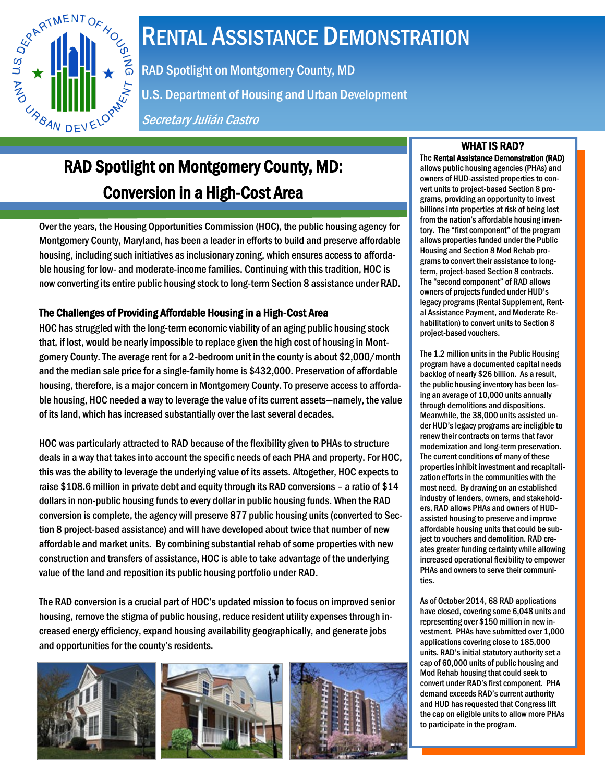

# RENTAL ASSISTANCE DEMONSTRATION

RAD Spotlight on Montgomery County, MD

U.S. Department of Housing and Urban Development

Secretary Julián Castro

# RAD Spotlight on Montgomery County, MD: Conversion in a High-Cost Area

Over the years, the Housing Opportunities Commission (HOC), the public housing agency for Montgomery County, Maryland, has been a leader in efforts to build and preserve affordable housing, including such initiatives as inclusionary zoning, which ensures access to affordable housing for low- and moderate-income families. Continuing with this tradition, HOC is now converting its entire public housing stock to long-term Section 8 assistance under RAD.

## The Challenges of Providing Affordable Housing in a High-Cost Area

HOC has struggled with the long-term economic viability of an aging public housing stock that, if lost, would be nearly impossible to replace given the high cost of housing in Montgomery County. The average rent for a 2-bedroom unit in the county is about \$2,000/month and the median sale price for a single-family home is \$432,000. Preservation of affordable housing, therefore, is a major concern in Montgomery County. To preserve access to affordable housing, HOC needed a way to leverage the value of its current assets—namely, the value of its land, which has increased substantially over the last several decades.

HOC was particularly attracted to RAD because of the flexibility given to PHAs to structure deals in a way that takes into account the specific needs of each PHA and property. For HOC, this was the ability to leverage the underlying value of its assets. Altogether, HOC expects to raise \$108.6 million in private debt and equity through its RAD conversions – a ratio of \$14 dollars in non-public housing funds to every dollar in public housing funds. When the RAD conversion is complete, the agency will preserve 877 public housing units (converted to Section 8 project-based assistance) and will have developed about twice that number of new affordable and market units. By combining substantial rehab of some properties with new construction and transfers of assistance, HOC is able to take advantage of the underlying value of the land and reposition its public housing portfolio under RAD.

The RAD conversion is a crucial part of HOC's updated mission to focus on improved senior housing, remove the stigma of public housing, reduce resident utility expenses through increased energy efficiency, expand housing availability geographically, and generate jobs and opportunities for the county's residents.







# WHAT IS RAD?

The Rental Assistance Demonstration (RAD) allows public housing agencies (PHAs) and owners of HUD-assisted properties to convert units to project-based Section 8 programs, providing an opportunity to invest billions into properties at risk of being lost from the nation's affordable housing inventory. The "first component" of the program allows properties funded under the Public Housing and Section 8 Mod Rehab programs to convert their assistance to longterm, project-based Section 8 contracts. The "second component" of RAD allows owners of projects funded under HUD's legacy programs (Rental Supplement, Rental Assistance Payment, and Moderate Rehabilitation) to convert units to Section 8 project-based vouchers.

The 1.2 million units in the Public Housing program have a documented capital needs backlog of nearly \$26 billion. As a result, the public housing inventory has been losing an average of 10,000 units annually through demolitions and dispositions. Meanwhile, the 38,000 units assisted under HUD's legacy programs are ineligible to renew their contracts on terms that favor modernization and long-term preservation. The current conditions of many of these properties inhibit investment and recapitalization efforts in the communities with the most need. By drawing on an established industry of lenders, owners, and stakeholders, RAD allows PHAs and owners of HUDassisted housing to preserve and improve affordable housing units that could be subject to vouchers and demolition. RAD creates greater funding certainty while allowing increased operational flexibility to empower PHAs and owners to serve their communities.

As of October 2014, 68 RAD applications have closed, covering some 6,048 units and representing over \$150 million in new investment. PHAs have submitted over 1,000 applications covering close to 185,000 units. RAD's initial statutory authority set a cap of 60,000 units of public housing and Mod Rehab housing that could seek to convert under RAD's first component. PHA demand exceeds RAD's current authority and HUD has requested that Congress lift the cap on eligible units to allow more PHAs to participate in the program.